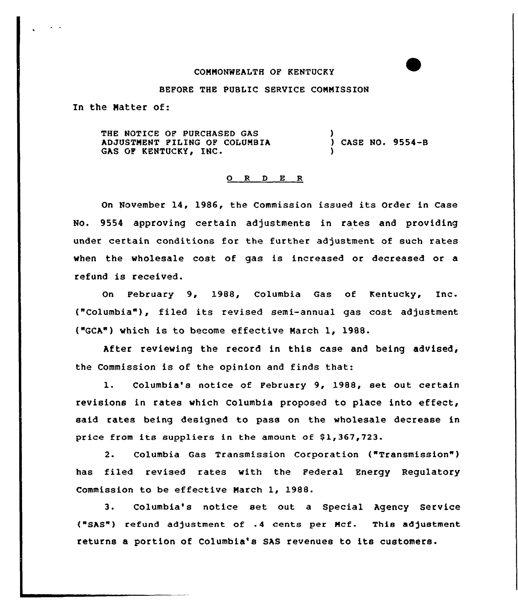### COMNONWEALTH OF KENTUCKY

### BEFORE THE PUBLIC SERVICE CQNNISSION

In the Natter of:

THE NOTICE OP PURCHASED GAS ADJUSTNENT FILING OF COLUNBIA GAS OF KENTUCKY, INC. ) ) CASE NO. 9554-B )

#### 0 R <sup>D</sup> E R

On November 14, 1986, the Commission issued its Order in Case No. 9554 approving certain adjustments in rates and providing under certain conditions for the further adjustment of such rates when the wholesale cost of gas is increased or decreased or a refund is received.

On February 9, 1988, Columbia Gas of Kentucky, Inc. ("Columbia"), filed its revised semi-annual gas cost adjustment ("GCA") which is to become effective Narch 1, 1988.

After reviewing the record in this case and being advised, the Commission is of the opinion and finds that:

1. Columbia's notice of Pebruary 9, 1988, set out certain revisions in rates which Columbia proposed to place into effect, said rates being designed to pass on the wholesale decrease in price from its suppliers in the amount of  $$1,367,723$ .

2. Columbia Gas Transmission Corporation ("Transmission" ) has filed revised rates with the Federal Energy Regulatory Commission to be effective Narch 1, 1988.

3. Columbia's notice set out a Special Agency Service ("SAS") refund adjustment of .4 cents per Mcf. This adjustment returns a portion of Columbia's SAS revenues to its customers.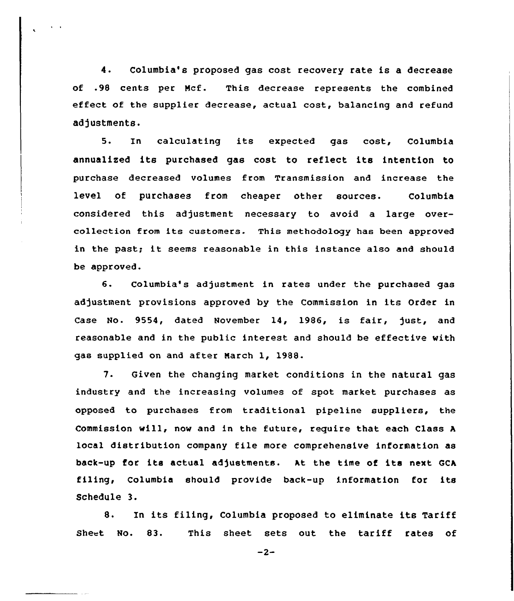4. Columbia's proposed gas cost recovery rate is a decrease of .98 cents per Ncf. This decrease represents the combined effect of the supplier decrease, actual cost, balancing and refund adjustments.

5. In calculating its expected gas cost, Columbia annualiced its purchased gas cost to reflect its intention to purchase decreased volumes from Transmission and increase the level of purchases from cheaper other sources. Columbia considered this adjustment necessary to avoid a large overcollection from its customers. This methodology has been approved in the past; it seems reasonable in this instance also and should be approved.

6- Columbia's adjustment in rates under the purchased gas adjustment provisions approved by the Commission in its Order in Case No. 9554, dated November 14, 1986, is fair, just, and reasonable and in the public interest and should be effective with gas supplied on and after March 1, 1988.

7. Given the changing market conditions in the natural gas industry and the increasing volumes of spot market purchases as opposed to purchases from traditional pipeline suppliers, the Commission will, now and in the future, require that. each Class <sup>A</sup> local distribution company file more comprehensive information as back-up for its actual adjustments. At the time of its next GCA filing, Columbia should provide back-up information for its Schedule 3.

8. In its filing, Columbia proposed to eliminate its Tariff Sheet No. 83. This sheet sets out the tariff rates of

 $-2-$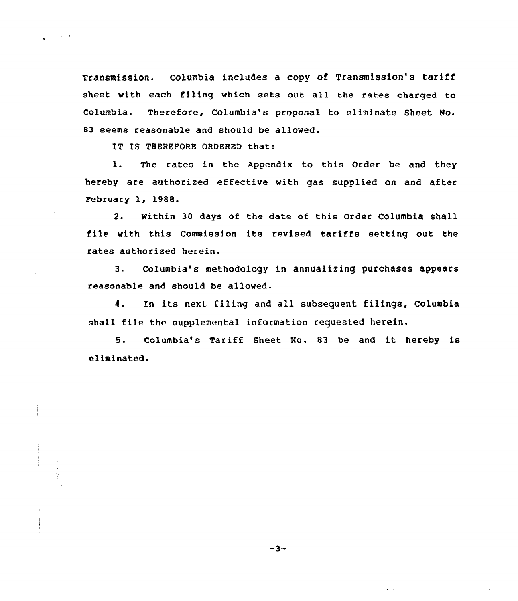Transmission. Columbia includes <sup>a</sup> copy of Transmission's tariff sheet with each filing which sets out all the rates charged to Columbia. Therefore, Columbia's proposal to eliminate Sheet No. 83 seems reasonable and should be allowed.

IT IS THEREFORE ORDERED that:

 $\hat{\boldsymbol{r}}$ 

 $\pm$ 

l. The rates in the Appendix to this Order be and they hereby are authorized effective with gas supplied on and after February 1, 1988.

2. Within 30 days of the date of this Order Columbia shall file with this Commission its revised tariffs setting out the rates authorized herein.

3. Columbia's methodology in annualizing purchases appears reasonable and should be allowed.

4. In its next filing and all subsequent filings, Columbia shall file the supplemental information requested herein.

5- Columbia's Tariff Sheet No. <sup>83</sup> be and it hereby is eliminated.

المتحاسب سأحب متحاولات والمستحدث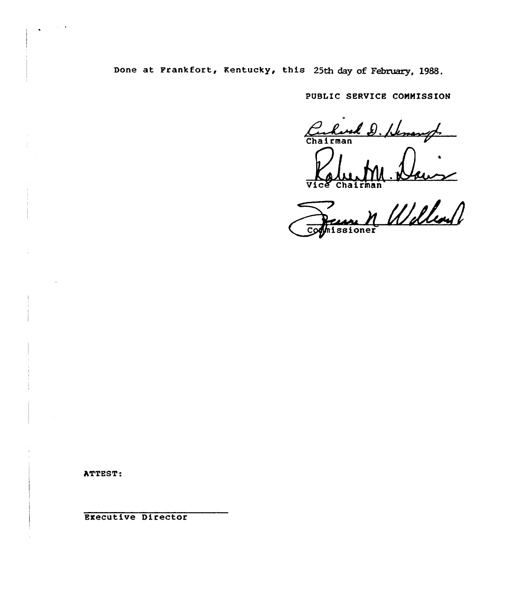Done at Frankfort, Kentucky, this 25th day of February, 1988.

PUBLIC SERVICE COMMISSION

Curlist D. Henryl Kalu, M.

Chairman

~ //JILL  $\overline{c}$ 

ATTEST:

Executive Director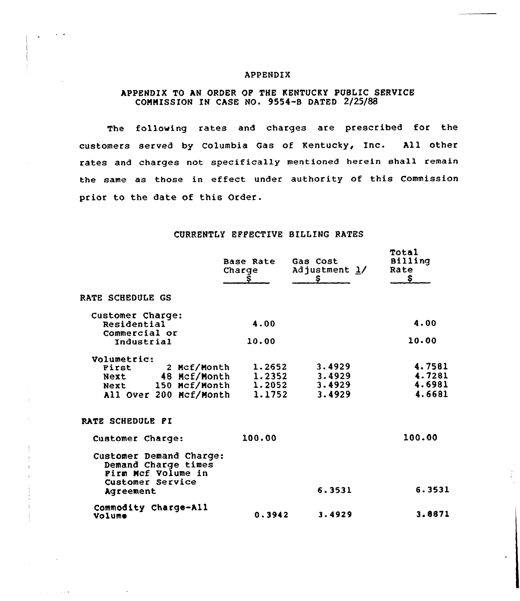#### APPENDIX

# APPENDIX TO AN ORDER OP THE KENTUCKY PUBLIC SERVICE COMMISSION IN CASE NO. 9554-B DATED 2/25/88

The following rates and charges are prescribed for the customers served by Columbia Gas of Kentucky, Inc. All other rates and charges not specifically mentioned herein shall remain the same as those in effect under authority of this Commission prior to the date of this Order.

## CURRENTLY EPPECTIVE BILLING RATES

|                                                                                          | Base Rate<br>Charge<br>s | Gas Cost<br>Adjustment 1/<br>Ş. | Total<br>Billing<br>Rate<br>\$ |
|------------------------------------------------------------------------------------------|--------------------------|---------------------------------|--------------------------------|
| <b>RATE SCHEDULE GS</b>                                                                  |                          |                                 |                                |
| Customer Charge:                                                                         |                          |                                 |                                |
| Residential                                                                              | 4.00                     |                                 | 4.00                           |
| Commercial or                                                                            |                          |                                 |                                |
| Industrial                                                                               | 10.00                    |                                 | 10.00                          |
| Volumetric:                                                                              |                          |                                 |                                |
| 2 Mcf/Month<br><b>First</b>                                                              | 1.2652                   | 3.4929                          | 4.7581                         |
| 48 Mcf/Month<br>Next                                                                     | 1.2352                   | 3.4929                          | 4.7281                         |
| Next 150 Mcf/Month                                                                       | 1.2052                   | 3.4929                          | 4.6981                         |
| All Over 200 Mcf/Month                                                                   | 1.1752                   | 3.4929                          | 4.6681                         |
| RATE SCHEDULE PI                                                                         |                          |                                 |                                |
| Customer Charge:                                                                         | 100.00                   |                                 | 100.00                         |
| Customer Demand Charge:<br>Demand Charge times<br>Firm Mcf Volume in<br>Customer Service |                          |                                 |                                |
| Agreement                                                                                |                          | 6.3531                          | 6.3531                         |
| Commodity Charge-All                                                                     |                          |                                 |                                |
| Volume                                                                                   | 0.3942                   | 3.4929                          | 3.8871                         |